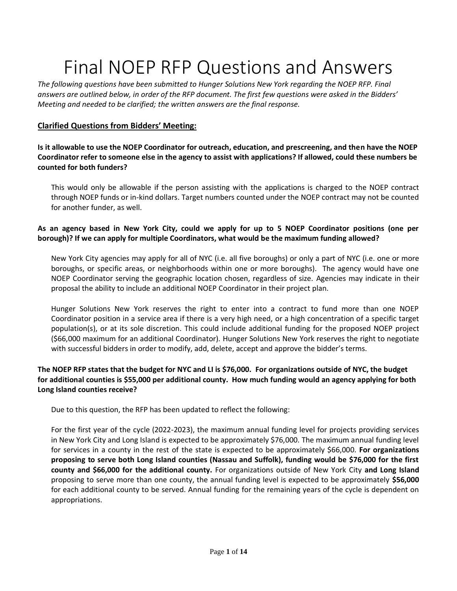# Final NOEP RFP Questions and Answers

*The following questions have been submitted to Hunger Solutions New York regarding the NOEP RFP. Final answers are outlined below, in order of the RFP document. The first few questions were asked in the Bidders' Meeting and needed to be clarified; the written answers are the final response.*

## **Clarified Questions from Bidders' Meeting:**

**Is it allowable to use the NOEP Coordinator for outreach, education, and prescreening, and then have the NOEP Coordinator refer to someone else in the agency to assist with applications? If allowed, could these numbers be counted for both funders?**

This would only be allowable if the person assisting with the applications is charged to the NOEP contract through NOEP funds or in-kind dollars. Target numbers counted under the NOEP contract may not be counted for another funder, as well.

## **As an agency based in New York City, could we apply for up to 5 NOEP Coordinator positions (one per borough)? If we can apply for multiple Coordinators, what would be the maximum funding allowed?**

New York City agencies may apply for all of NYC (i.e. all five boroughs) or only a part of NYC (i.e. one or more boroughs, or specific areas, or neighborhoods within one or more boroughs). The agency would have one NOEP Coordinator serving the geographic location chosen, regardless of size. Agencies may indicate in their proposal the ability to include an additional NOEP Coordinator in their project plan.

Hunger Solutions New York reserves the right to enter into a contract to fund more than one NOEP Coordinator position in a service area if there is a very high need, or a high concentration of a specific target population(s), or at its sole discretion. This could include additional funding for the proposed NOEP project (\$66,000 maximum for an additional Coordinator). Hunger Solutions New York reserves the right to negotiate with successful bidders in order to modify, add, delete, accept and approve the bidder's terms.

## **The NOEP RFP states that the budget for NYC and LI is \$76,000. For organizations outside of NYC, the budget for additional counties is \$55,000 per additional county. How much funding would an agency applying for both Long Island counties receive?**

Due to this question, the RFP has been updated to reflect the following:

For the first year of the cycle (2022-2023), the maximum annual funding level for projects providing services in New York City and Long Island is expected to be approximately \$76,000. The maximum annual funding level for services in a county in the rest of the state is expected to be approximately \$66,000. **For organizations proposing to serve both Long Island counties (Nassau and Suffolk), funding would be \$76,000 for the first county and \$66,000 for the additional county.** For organizations outside of New York City **and Long Island** proposing to serve more than one county, the annual funding level is expected to be approximately **\$56,000** for each additional county to be served. Annual funding for the remaining years of the cycle is dependent on appropriations.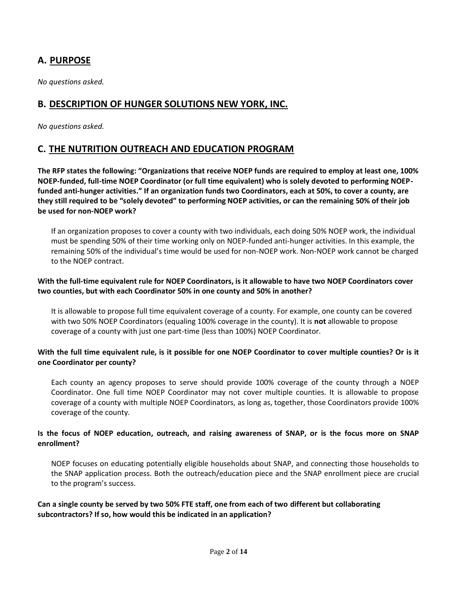# **A. PURPOSE**

*No questions asked.*

# **B. DESCRIPTION OF HUNGER SOLUTIONS NEW YORK, INC.**

*No questions asked.*

# **C. THE NUTRITION OUTREACH AND EDUCATION PROGRAM**

**The RFP states the following: "Organizations that receive NOEP funds are required to employ at least one, 100% NOEP-funded, full-time NOEP Coordinator (or full time equivalent) who is solely devoted to performing NOEPfunded anti-hunger activities." If an organization funds two Coordinators, each at 50%, to cover a county, are they still required to be "solely devoted" to performing NOEP activities, or can the remaining 50% of their job be used for non-NOEP work?**

If an organization proposes to cover a county with two individuals, each doing 50% NOEP work, the individual must be spending 50% of their time working only on NOEP-funded anti-hunger activities. In this example, the remaining 50% of the individual's time would be used for non-NOEP work. Non-NOEP work cannot be charged to the NOEP contract.

#### **With the full-time equivalent rule for NOEP Coordinators, is it allowable to have two NOEP Coordinators cover two counties, but with each Coordinator 50% in one county and 50% in another?**

It is allowable to propose full time equivalent coverage of a county. For example, one county can be covered with two 50% NOEP Coordinators (equaling 100% coverage in the county). It is **not** allowable to propose coverage of a county with just one part-time (less than 100%) NOEP Coordinator.

#### **With the full time equivalent rule, is it possible for one NOEP Coordinator to cover multiple counties? Or is it one Coordinator per county?**

Each county an agency proposes to serve should provide 100% coverage of the county through a NOEP Coordinator. One full time NOEP Coordinator may not cover multiple counties. It is allowable to propose coverage of a county with multiple NOEP Coordinators, as long as, together, those Coordinators provide 100% coverage of the county.

#### **Is the focus of NOEP education, outreach, and raising awareness of SNAP, or is the focus more on SNAP enrollment?**

NOEP focuses on educating potentially eligible households about SNAP, and connecting those households to the SNAP application process. Both the outreach/education piece and the SNAP enrollment piece are crucial to the program's success.

**Can a single county be served by two 50% FTE staff, one from each of two different but collaborating subcontractors? If so, how would this be indicated in an application?**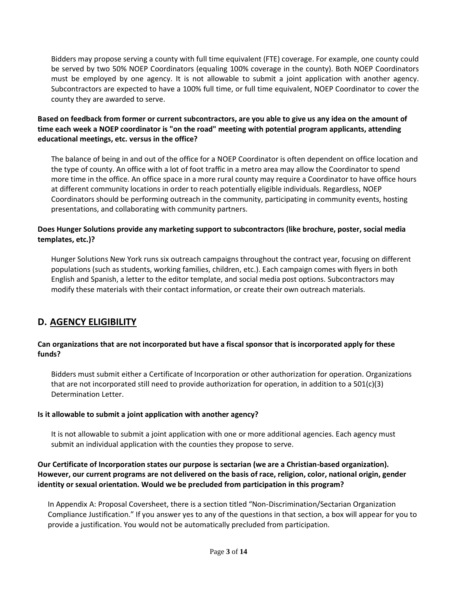Bidders may propose serving a county with full time equivalent (FTE) coverage. For example, one county could be served by two 50% NOEP Coordinators (equaling 100% coverage in the county). Both NOEP Coordinators must be employed by one agency. It is not allowable to submit a joint application with another agency. Subcontractors are expected to have a 100% full time, or full time equivalent, NOEP Coordinator to cover the county they are awarded to serve.

**Based on feedback from former or current subcontractors, are you able to give us any idea on the amount of time each week a NOEP coordinator is "on the road" meeting with potential program applicants, attending educational meetings, etc. versus in the office?** 

The balance of being in and out of the office for a NOEP Coordinator is often dependent on office location and the type of county. An office with a lot of foot traffic in a metro area may allow the Coordinator to spend more time in the office. An office space in a more rural county may require a Coordinator to have office hours at different community locations in order to reach potentially eligible individuals. Regardless, NOEP Coordinators should be performing outreach in the community, participating in community events, hosting presentations, and collaborating with community partners.

#### **Does Hunger Solutions provide any marketing support to subcontractors (like brochure, poster, social media templates, etc.)?**

Hunger Solutions New York runs six outreach campaigns throughout the contract year, focusing on different populations (such as students, working families, children, etc.). Each campaign comes with flyers in both English and Spanish, a letter to the editor template, and social media post options. Subcontractors may modify these materials with their contact information, or create their own outreach materials.

# **D. AGENCY ELIGIBILITY**

#### **Can organizations that are not incorporated but have a fiscal sponsor that is incorporated apply for these funds?**

Bidders must submit either a Certificate of Incorporation or other authorization for operation. Organizations that are not incorporated still need to provide authorization for operation, in addition to a  $501(c)(3)$ Determination Letter.

#### **Is it allowable to submit a joint application with another agency?**

It is not allowable to submit a joint application with one or more additional agencies. Each agency must submit an individual application with the counties they propose to serve.

#### **Our Certificate of Incorporation states our purpose is sectarian (we are a Christian-based organization). However, our current programs are not delivered on the basis of race, religion, color, national origin, gender identity or sexual orientation. Would we be precluded from participation in this program?**

In Appendix A: Proposal Coversheet, there is a section titled "Non-Discrimination/Sectarian Organization Compliance Justification." If you answer yes to any of the questions in that section, a box will appear for you to provide a justification. You would not be automatically precluded from participation.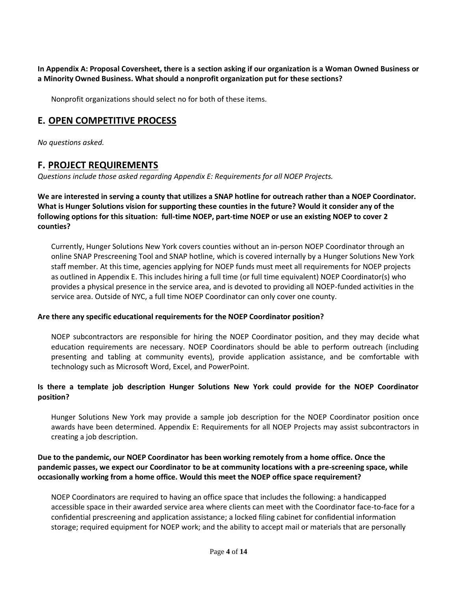**In Appendix A: Proposal Coversheet, there is a section asking if our organization is a Woman Owned Business or a Minority Owned Business. What should a nonprofit organization put for these sections?**

Nonprofit organizations should select no for both of these items.

# **E. OPEN COMPETITIVE PROCESS**

*No questions asked.*

# **F. PROJECT REQUIREMENTS**

*Questions include those asked regarding Appendix E: Requirements for all NOEP Projects.*

**We are interested in serving a county that utilizes a SNAP hotline for outreach rather than a NOEP Coordinator. What is Hunger Solutions vision for supporting these counties in the future? Would it consider any of the following options for this situation: full-time NOEP, part-time NOEP or use an existing NOEP to cover 2 counties?**

Currently, Hunger Solutions New York covers counties without an in-person NOEP Coordinator through an online SNAP Prescreening Tool and SNAP hotline, which is covered internally by a Hunger Solutions New York staff member. At this time, agencies applying for NOEP funds must meet all requirements for NOEP projects as outlined in Appendix E. This includes hiring a full time (or full time equivalent) NOEP Coordinator(s) who provides a physical presence in the service area, and is devoted to providing all NOEP-funded activities in the service area. Outside of NYC, a full time NOEP Coordinator can only cover one county.

#### **Are there any specific educational requirements for the NOEP Coordinator position?**

NOEP subcontractors are responsible for hiring the NOEP Coordinator position, and they may decide what education requirements are necessary. NOEP Coordinators should be able to perform outreach (including presenting and tabling at community events), provide application assistance, and be comfortable with technology such as Microsoft Word, Excel, and PowerPoint.

#### **Is there a template job description Hunger Solutions New York could provide for the NOEP Coordinator position?**

Hunger Solutions New York may provide a sample job description for the NOEP Coordinator position once awards have been determined. Appendix E: Requirements for all NOEP Projects may assist subcontractors in creating a job description.

#### **Due to the pandemic, our NOEP Coordinator has been working remotely from a home office. Once the pandemic passes, we expect our Coordinator to be at community locations with a pre-screening space, while occasionally working from a home office. Would this meet the NOEP office space requirement?**

NOEP Coordinators are required to having an office space that includes the following: a handicapped accessible space in their awarded service area where clients can meet with the Coordinator face-to-face for a confidential prescreening and application assistance; a locked filing cabinet for confidential information storage; required equipment for NOEP work; and the ability to accept mail or materials that are personally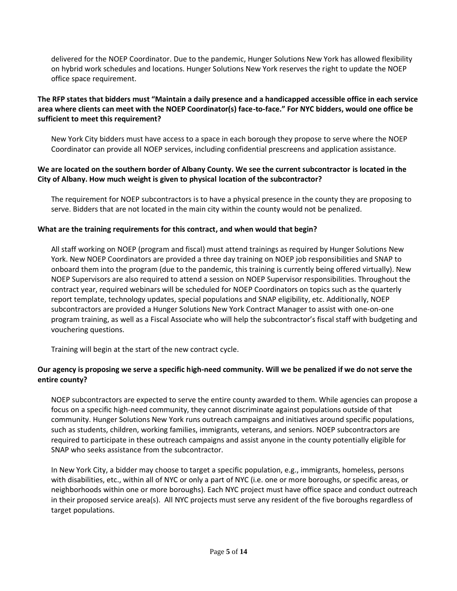delivered for the NOEP Coordinator. Due to the pandemic, Hunger Solutions New York has allowed flexibility on hybrid work schedules and locations. Hunger Solutions New York reserves the right to update the NOEP office space requirement.

## **The RFP states that bidders must "Maintain a daily presence and a handicapped accessible office in each service area where clients can meet with the NOEP Coordinator(s) face-to-face." For NYC bidders, would one office be sufficient to meet this requirement?**

New York City bidders must have access to a space in each borough they propose to serve where the NOEP Coordinator can provide all NOEP services, including confidential prescreens and application assistance.

#### **We are located on the southern border of Albany County. We see the current subcontractor is located in the City of Albany. How much weight is given to physical location of the subcontractor?**

The requirement for NOEP subcontractors is to have a physical presence in the county they are proposing to serve. Bidders that are not located in the main city within the county would not be penalized.

#### **What are the training requirements for this contract, and when would that begin?**

All staff working on NOEP (program and fiscal) must attend trainings as required by Hunger Solutions New York. New NOEP Coordinators are provided a three day training on NOEP job responsibilities and SNAP to onboard them into the program (due to the pandemic, this training is currently being offered virtually). New NOEP Supervisors are also required to attend a session on NOEP Supervisor responsibilities. Throughout the contract year, required webinars will be scheduled for NOEP Coordinators on topics such as the quarterly report template, technology updates, special populations and SNAP eligibility, etc. Additionally, NOEP subcontractors are provided a Hunger Solutions New York Contract Manager to assist with one-on-one program training, as well as a Fiscal Associate who will help the subcontractor's fiscal staff with budgeting and vouchering questions.

Training will begin at the start of the new contract cycle.

#### **Our agency is proposing we serve a specific high-need community. Will we be penalized if we do not serve the entire county?**

NOEP subcontractors are expected to serve the entire county awarded to them. While agencies can propose a focus on a specific high-need community, they cannot discriminate against populations outside of that community. Hunger Solutions New York runs outreach campaigns and initiatives around specific populations, such as students, children, working families, immigrants, veterans, and seniors. NOEP subcontractors are required to participate in these outreach campaigns and assist anyone in the county potentially eligible for SNAP who seeks assistance from the subcontractor.

In New York City, a bidder may choose to target a specific population, e.g., immigrants, homeless, persons with disabilities, etc., within all of NYC or only a part of NYC (i.e. one or more boroughs, or specific areas, or neighborhoods within one or more boroughs). Each NYC project must have office space and conduct outreach in their proposed service area(s). All NYC projects must serve any resident of the five boroughs regardless of target populations.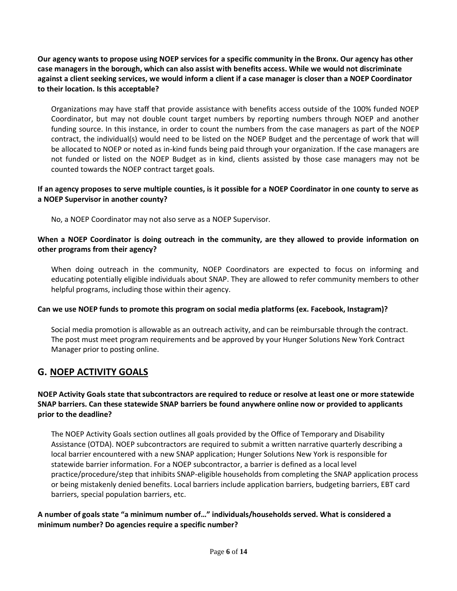**Our agency wants to propose using NOEP services for a specific community in the Bronx. Our agency has other case managers in the borough, which can also assist with benefits access. While we would not discriminate against a client seeking services, we would inform a client if a case manager is closer than a NOEP Coordinator to their location. Is this acceptable?**

Organizations may have staff that provide assistance with benefits access outside of the 100% funded NOEP Coordinator, but may not double count target numbers by reporting numbers through NOEP and another funding source. In this instance, in order to count the numbers from the case managers as part of the NOEP contract, the individual(s) would need to be listed on the NOEP Budget and the percentage of work that will be allocated to NOEP or noted as in-kind funds being paid through your organization. If the case managers are not funded or listed on the NOEP Budget as in kind, clients assisted by those case managers may not be counted towards the NOEP contract target goals.

## **If an agency proposes to serve multiple counties, is it possible for a NOEP Coordinator in one county to serve as a NOEP Supervisor in another county?**

No, a NOEP Coordinator may not also serve as a NOEP Supervisor.

## **When a NOEP Coordinator is doing outreach in the community, are they allowed to provide information on other programs from their agency?**

When doing outreach in the community, NOEP Coordinators are expected to focus on informing and educating potentially eligible individuals about SNAP. They are allowed to refer community members to other helpful programs, including those within their agency.

#### **Can we use NOEP funds to promote this program on social media platforms (ex. Facebook, Instagram)?**

Social media promotion is allowable as an outreach activity, and can be reimbursable through the contract. The post must meet program requirements and be approved by your Hunger Solutions New York Contract Manager prior to posting online.

# **G. NOEP ACTIVITY GOALS**

## **NOEP Activity Goals state that subcontractors are required to reduce or resolve at least one or more statewide SNAP barriers. Can these statewide SNAP barriers be found anywhere online now or provided to applicants prior to the deadline?**

The NOEP Activity Goals section outlines all goals provided by the Office of Temporary and Disability Assistance (OTDA). NOEP subcontractors are required to submit a written narrative quarterly describing a local barrier encountered with a new SNAP application; Hunger Solutions New York is responsible for statewide barrier information. For a NOEP subcontractor, a barrier is defined as a local level practice/procedure/step that inhibits SNAP-eligible households from completing the SNAP application process or being mistakenly denied benefits. Local barriers include application barriers, budgeting barriers, EBT card barriers, special population barriers, etc.

#### **A number of goals state "a minimum number of…" individuals/households served. What is considered a minimum number? Do agencies require a specific number?**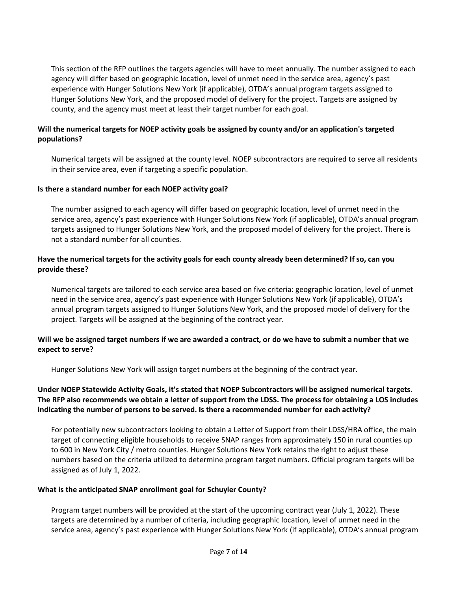This section of the RFP outlines the targets agencies will have to meet annually. The number assigned to each agency will differ based on geographic location, level of unmet need in the service area, agency's past experience with Hunger Solutions New York (if applicable), OTDA's annual program targets assigned to Hunger Solutions New York, and the proposed model of delivery for the project. Targets are assigned by county, and the agency must meet at least their target number for each goal.

#### **Will the numerical targets for NOEP activity goals be assigned by county and/or an application's targeted populations?**

Numerical targets will be assigned at the county level. NOEP subcontractors are required to serve all residents in their service area, even if targeting a specific population.

#### **Is there a standard number for each NOEP activity goal?**

The number assigned to each agency will differ based on geographic location, level of unmet need in the service area, agency's past experience with Hunger Solutions New York (if applicable), OTDA's annual program targets assigned to Hunger Solutions New York, and the proposed model of delivery for the project. There is not a standard number for all counties.

#### **Have the numerical targets for the activity goals for each county already been determined? If so, can you provide these?**

Numerical targets are tailored to each service area based on five criteria: geographic location, level of unmet need in the service area, agency's past experience with Hunger Solutions New York (if applicable), OTDA's annual program targets assigned to Hunger Solutions New York, and the proposed model of delivery for the project. Targets will be assigned at the beginning of the contract year.

#### **Will we be assigned target numbers if we are awarded a contract, or do we have to submit a number that we expect to serve?**

Hunger Solutions New York will assign target numbers at the beginning of the contract year.

## **Under NOEP Statewide Activity Goals, it's stated that NOEP Subcontractors will be assigned numerical targets. The RFP also recommends we obtain a letter of support from the LDSS. The process for obtaining a LOS includes indicating the number of persons to be served. Is there a recommended number for each activity?**

For potentially new subcontractors looking to obtain a Letter of Support from their LDSS/HRA office, the main target of connecting eligible households to receive SNAP ranges from approximately 150 in rural counties up to 600 in New York City / metro counties. Hunger Solutions New York retains the right to adjust these numbers based on the criteria utilized to determine program target numbers. Official program targets will be assigned as of July 1, 2022.

#### **What is the anticipated SNAP enrollment goal for Schuyler County?**

Program target numbers will be provided at the start of the upcoming contract year (July 1, 2022). These targets are determined by a number of criteria, including geographic location, level of unmet need in the service area, agency's past experience with Hunger Solutions New York (if applicable), OTDA's annual program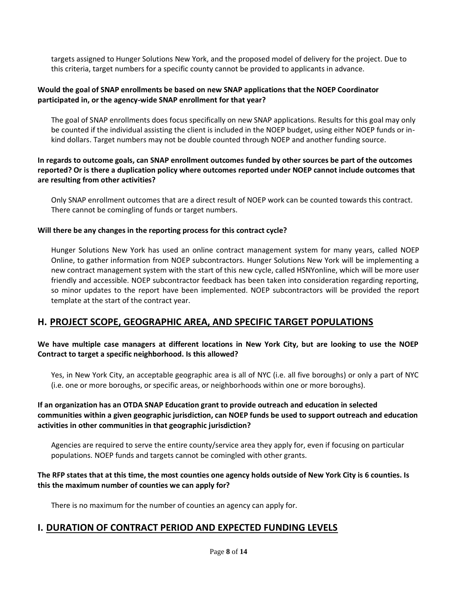targets assigned to Hunger Solutions New York, and the proposed model of delivery for the project. Due to this criteria, target numbers for a specific county cannot be provided to applicants in advance.

#### **Would the goal of SNAP enrollments be based on new SNAP applications that the NOEP Coordinator participated in, or the agency-wide SNAP enrollment for that year?**

The goal of SNAP enrollments does focus specifically on new SNAP applications. Results for this goal may only be counted if the individual assisting the client is included in the NOEP budget, using either NOEP funds or inkind dollars. Target numbers may not be double counted through NOEP and another funding source.

#### **In regards to outcome goals, can SNAP enrollment outcomes funded by other sources be part of the outcomes reported? Or is there a duplication policy where outcomes reported under NOEP cannot include outcomes that are resulting from other activities?**

Only SNAP enrollment outcomes that are a direct result of NOEP work can be counted towards this contract. There cannot be comingling of funds or target numbers.

#### **Will there be any changes in the reporting process for this contract cycle?**

Hunger Solutions New York has used an online contract management system for many years, called NOEP Online, to gather information from NOEP subcontractors. Hunger Solutions New York will be implementing a new contract management system with the start of this new cycle, called HSNYonline, which will be more user friendly and accessible. NOEP subcontractor feedback has been taken into consideration regarding reporting, so minor updates to the report have been implemented. NOEP subcontractors will be provided the report template at the start of the contract year.

# **H. PROJECT SCOPE, GEOGRAPHIC AREA, AND SPECIFIC TARGET POPULATIONS**

#### **We have multiple case managers at different locations in New York City, but are looking to use the NOEP Contract to target a specific neighborhood. Is this allowed?**

Yes, in New York City, an acceptable geographic area is all of NYC (i.e. all five boroughs) or only a part of NYC (i.e. one or more boroughs, or specific areas, or neighborhoods within one or more boroughs).

#### **If an organization has an OTDA SNAP Education grant to provide outreach and education in selected communities within a given geographic jurisdiction, can NOEP funds be used to support outreach and education activities in other communities in that geographic jurisdiction?**

Agencies are required to serve the entire county/service area they apply for, even if focusing on particular populations. NOEP funds and targets cannot be comingled with other grants.

#### **The RFP states that at this time, the most counties one agency holds outside of New York City is 6 counties. Is this the maximum number of counties we can apply for?**

There is no maximum for the number of counties an agency can apply for.

# **I. DURATION OF CONTRACT PERIOD AND EXPECTED FUNDING LEVELS**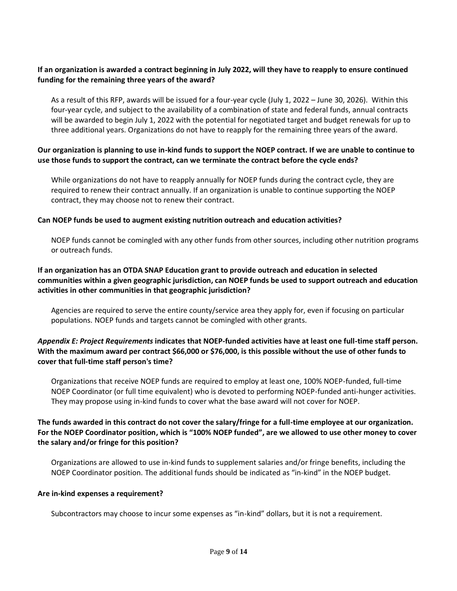#### **If an organization is awarded a contract beginning in July 2022, will they have to reapply to ensure continued funding for the remaining three years of the award?**

As a result of this RFP, awards will be issued for a four-year cycle (July 1, 2022 – June 30, 2026). Within this four-year cycle, and subject to the availability of a combination of state and federal funds, annual contracts will be awarded to begin July 1, 2022 with the potential for negotiated target and budget renewals for up to three additional years. Organizations do not have to reapply for the remaining three years of the award.

#### **Our organization is planning to use in-kind funds to support the NOEP contract. If we are unable to continue to use those funds to support the contract, can we terminate the contract before the cycle ends?**

While organizations do not have to reapply annually for NOEP funds during the contract cycle, they are required to renew their contract annually. If an organization is unable to continue supporting the NOEP contract, they may choose not to renew their contract.

#### **Can NOEP funds be used to augment existing nutrition outreach and education activities?**

NOEP funds cannot be comingled with any other funds from other sources, including other nutrition programs or outreach funds.

#### **If an organization has an OTDA SNAP Education grant to provide outreach and education in selected communities within a given geographic jurisdiction, can NOEP funds be used to support outreach and education activities in other communities in that geographic jurisdiction?**

Agencies are required to serve the entire county/service area they apply for, even if focusing on particular populations. NOEP funds and targets cannot be comingled with other grants.

#### *Appendix E: Project Requirements* **indicates that NOEP-funded activities have at least one full-time staff person. With the maximum award per contract \$66,000 or \$76,000, is this possible without the use of other funds to cover that full-time staff person's time?**

Organizations that receive NOEP funds are required to employ at least one, 100% NOEP-funded, full-time NOEP Coordinator (or full time equivalent) who is devoted to performing NOEP-funded anti-hunger activities. They may propose using in-kind funds to cover what the base award will not cover for NOEP.

#### **The funds awarded in this contract do not cover the salary/fringe for a full-time employee at our organization. For the NOEP Coordinator position, which is "100% NOEP funded", are we allowed to use other money to cover the salary and/or fringe for this position?**

Organizations are allowed to use in-kind funds to supplement salaries and/or fringe benefits, including the NOEP Coordinator position. The additional funds should be indicated as "in-kind" in the NOEP budget.

#### **Are in-kind expenses a requirement?**

Subcontractors may choose to incur some expenses as "in-kind" dollars, but it is not a requirement.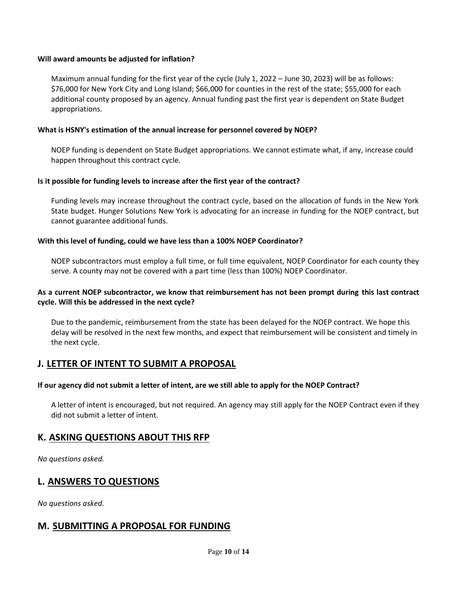#### **Will award amounts be adjusted for inflation?**

Maximum annual funding for the first year of the cycle (July 1, 2022 – June 30, 2023) will be as follows: \$76,000 for New York City and Long Island; \$66,000 for counties in the rest of the state; \$55,000 for each additional county proposed by an agency. Annual funding past the first year is dependent on State Budget appropriations.

#### **What is HSNY's estimation of the annual increase for personnel covered by NOEP?**

NOEP funding is dependent on State Budget appropriations. We cannot estimate what, if any, increase could happen throughout this contract cycle.

#### **Is it possible for funding levels to increase after the first year of the contract?**

Funding levels may increase throughout the contract cycle, based on the allocation of funds in the New York State budget. Hunger Solutions New York is advocating for an increase in funding for the NOEP contract, but cannot guarantee additional funds.

#### **With this level of funding, could we have less than a 100% NOEP Coordinator?**

NOEP subcontractors must employ a full time, or full time equivalent, NOEP Coordinator for each county they serve. A county may not be covered with a part time (less than 100%) NOEP Coordinator.

#### **As a current NOEP subcontractor, we know that reimbursement has not been prompt during this last contract cycle. Will this be addressed in the next cycle?**

Due to the pandemic, reimbursement from the state has been delayed for the NOEP contract. We hope this delay will be resolved in the next few months, and expect that reimbursement will be consistent and timely in the next cycle.

## **J. LETTER OF INTENT TO SUBMIT A PROPOSAL**

#### **If our agency did not submit a letter of intent, are we still able to apply for the NOEP Contract?**

A letter of intent is encouraged, but not required. An agency may still apply for the NOEP Contract even if they did not submit a letter of intent.

## **K. ASKING QUESTIONS ABOUT THIS RFP**

*No questions asked.*

## **L. ANSWERS TO QUESTIONS**

*No questions asked.*

# **M. SUBMITTING A PROPOSAL FOR FUNDING**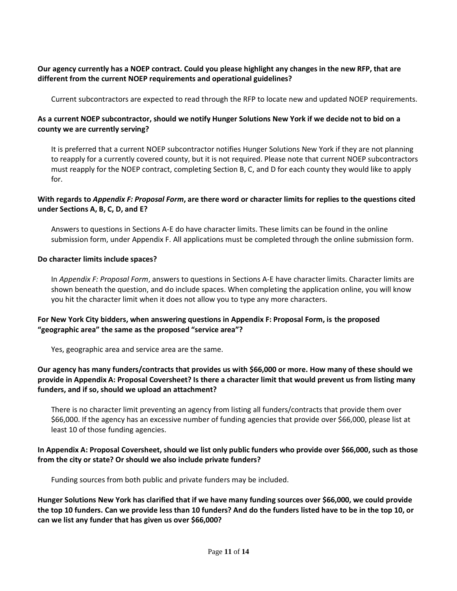#### **Our agency currently has a NOEP contract. Could you please highlight any changes in the new RFP, that are different from the current NOEP requirements and operational guidelines?**

Current subcontractors are expected to read through the RFP to locate new and updated NOEP requirements.

## **As a current NOEP subcontractor, should we notify Hunger Solutions New York if we decide not to bid on a county we are currently serving?**

It is preferred that a current NOEP subcontractor notifies Hunger Solutions New York if they are not planning to reapply for a currently covered county, but it is not required. Please note that current NOEP subcontractors must reapply for the NOEP contract, completing Section B, C, and D for each county they would like to apply for.

#### **With regards to** *Appendix F: Proposal Form***, are there word or character limits for replies to the questions cited under Sections A, B, C, D, and E?**

Answers to questions in Sections A-E do have character limits. These limits can be found in the online submission form, under Appendix F. All applications must be completed through the online submission form.

#### **Do character limits include spaces?**

In *Appendix F: Proposal Form*, answers to questions in Sections A-E have character limits. Character limits are shown beneath the question, and do include spaces. When completing the application online, you will know you hit the character limit when it does not allow you to type any more characters.

#### **For New York City bidders, when answering questions in Appendix F: Proposal Form, is the proposed "geographic area" the same as the proposed "service area"?**

Yes, geographic area and service area are the same.

#### **Our agency has many funders/contracts that provides us with \$66,000 or more. How many of these should we provide in Appendix A: Proposal Coversheet? Is there a character limit that would prevent us from listing many funders, and if so, should we upload an attachment?**

There is no character limit preventing an agency from listing all funders/contracts that provide them over \$66,000. If the agency has an excessive number of funding agencies that provide over \$66,000, please list at least 10 of those funding agencies.

#### **In Appendix A: Proposal Coversheet, should we list only public funders who provide over \$66,000, such as those from the city or state? Or should we also include private funders?**

Funding sources from both public and private funders may be included.

**Hunger Solutions New York has clarified that if we have many funding sources over \$66,000, we could provide the top 10 funders. Can we provide less than 10 funders? And do the funders listed have to be in the top 10, or can we list any funder that has given us over \$66,000?**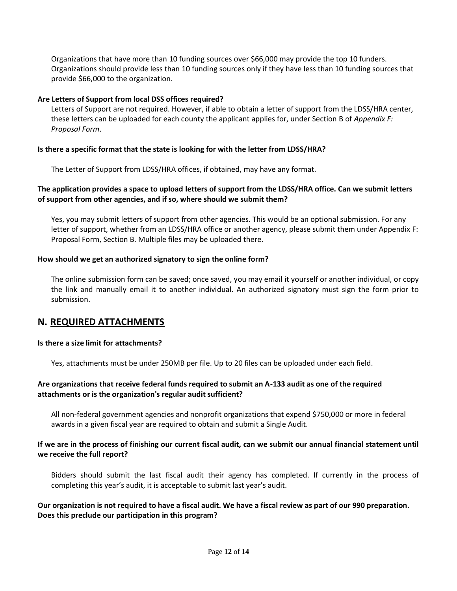Organizations that have more than 10 funding sources over \$66,000 may provide the top 10 funders. Organizations should provide less than 10 funding sources only if they have less than 10 funding sources that provide \$66,000 to the organization.

#### **Are Letters of Support from local DSS offices required?**

Letters of Support are not required. However, if able to obtain a letter of support from the LDSS/HRA center, these letters can be uploaded for each county the applicant applies for, under Section B of *Appendix F: Proposal Form*.

#### **Is there a specific format that the state is looking for with the letter from LDSS/HRA?**

The Letter of Support from LDSS/HRA offices, if obtained, may have any format.

#### **The application provides a space to upload letters of support from the LDSS/HRA office. Can we submit letters of support from other agencies, and if so, where should we submit them?**

Yes, you may submit letters of support from other agencies. This would be an optional submission. For any letter of support, whether from an LDSS/HRA office or another agency, please submit them under Appendix F: Proposal Form, Section B. Multiple files may be uploaded there.

#### **How should we get an authorized signatory to sign the online form?**

The online submission form can be saved; once saved, you may email it yourself or another individual, or copy the link and manually email it to another individual. An authorized signatory must sign the form prior to submission.

## **N. REQUIRED ATTACHMENTS**

#### **Is there a size limit for attachments?**

Yes, attachments must be under 250MB per file. Up to 20 files can be uploaded under each field.

#### **Are organizations that receive federal funds required to submit an A-133 audit as one of the required attachments or is the organization's regular audit sufficient?**

All non-federal government agencies and nonprofit organizations that expend \$750,000 or more in federal awards in a given fiscal year are required to obtain and submit a Single Audit.

#### **If we are in the process of finishing our current fiscal audit, can we submit our annual financial statement until we receive the full report?**

Bidders should submit the last fiscal audit their agency has completed. If currently in the process of completing this year's audit, it is acceptable to submit last year's audit.

#### **Our organization is not required to have a fiscal audit. We have a fiscal review as part of our 990 preparation. Does this preclude our participation in this program?**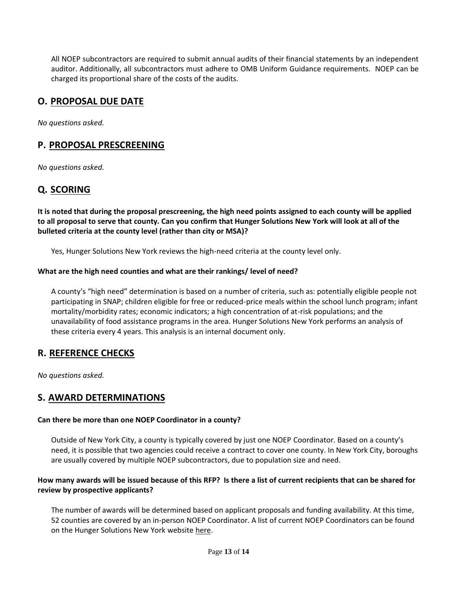All NOEP subcontractors are required to submit annual audits of their financial statements by an independent auditor. Additionally, all subcontractors must adhere to OMB Uniform Guidance requirements. NOEP can be charged its proportional share of the costs of the audits.

# **O. PROPOSAL DUE DATE**

*No questions asked.*

## **P. PROPOSAL PRESCREENING**

*No questions asked.*

# **Q. SCORING**

**It is noted that during the proposal prescreening, the high need points assigned to each county will be applied to all proposal to serve that county. Can you confirm that Hunger Solutions New York will look at all of the bulleted criteria at the county level (rather than city or MSA)?**

Yes, Hunger Solutions New York reviews the high-need criteria at the county level only.

#### **What are the high need counties and what are their rankings/ level of need?**

A county's "high need" determination is based on a number of criteria, such as: potentially eligible people not participating in SNAP; children eligible for free or reduced-price meals within the school lunch program; infant mortality/morbidity rates; economic indicators; a high concentration of at-risk populations; and the unavailability of food assistance programs in the area. Hunger Solutions New York performs an analysis of these criteria every 4 years. This analysis is an internal document only.

## **R. REFERENCE CHECKS**

*No questions asked.*

## **S. AWARD DETERMINATIONS**

#### **Can there be more than one NOEP Coordinator in a county?**

Outside of New York City, a county is typically covered by just one NOEP Coordinator. Based on a county's need, it is possible that two agencies could receive a contract to cover one county. In New York City, boroughs are usually covered by multiple NOEP subcontractors, due to population size and need.

#### **How many awards will be issued because of this RFP? Is there a list of current recipients that can be shared for review by prospective applicants?**

The number of awards will be determined based on applicant proposals and funding availability. At this time, 52 counties are covered by an in-person NOEP Coordinator. A list of current NOEP Coordinators can be found on the Hunger Solutions New York website [here.](https://hungersolutionsny.org/find-food-help/snap/)